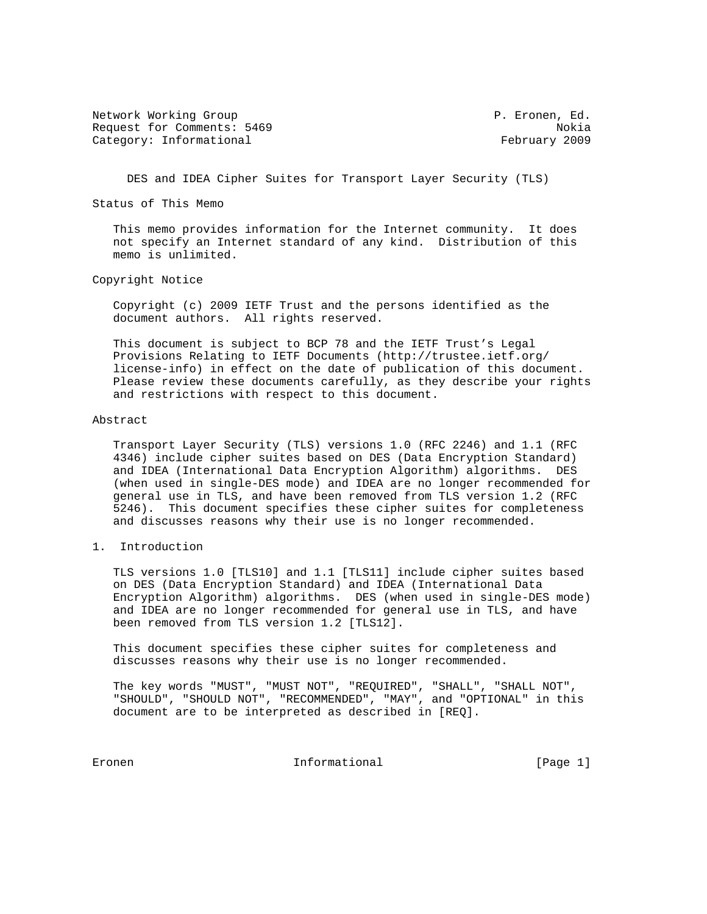Network Working Group **P. Expansion Community** P. Eronen, Ed. Request for Comments: 5469 Nokia Category: Informational example of the control of the February 2009

DES and IDEA Cipher Suites for Transport Layer Security (TLS)

Status of This Memo

 This memo provides information for the Internet community. It does not specify an Internet standard of any kind. Distribution of this memo is unlimited.

Copyright Notice

 Copyright (c) 2009 IETF Trust and the persons identified as the document authors. All rights reserved.

 This document is subject to BCP 78 and the IETF Trust's Legal Provisions Relating to IETF Documents (http://trustee.ietf.org/ license-info) in effect on the date of publication of this document. Please review these documents carefully, as they describe your rights and restrictions with respect to this document.

#### Abstract

 Transport Layer Security (TLS) versions 1.0 (RFC 2246) and 1.1 (RFC 4346) include cipher suites based on DES (Data Encryption Standard) and IDEA (International Data Encryption Algorithm) algorithms. DES (when used in single-DES mode) and IDEA are no longer recommended for general use in TLS, and have been removed from TLS version 1.2 (RFC 5246). This document specifies these cipher suites for completeness and discusses reasons why their use is no longer recommended.

1. Introduction

 TLS versions 1.0 [TLS10] and 1.1 [TLS11] include cipher suites based on DES (Data Encryption Standard) and IDEA (International Data Encryption Algorithm) algorithms. DES (when used in single-DES mode) and IDEA are no longer recommended for general use in TLS, and have been removed from TLS version 1.2 [TLS12].

 This document specifies these cipher suites for completeness and discusses reasons why their use is no longer recommended.

 The key words "MUST", "MUST NOT", "REQUIRED", "SHALL", "SHALL NOT", "SHOULD", "SHOULD NOT", "RECOMMENDED", "MAY", and "OPTIONAL" in this document are to be interpreted as described in [REQ].

Eronen 1988 Eronen Informational (Page 1)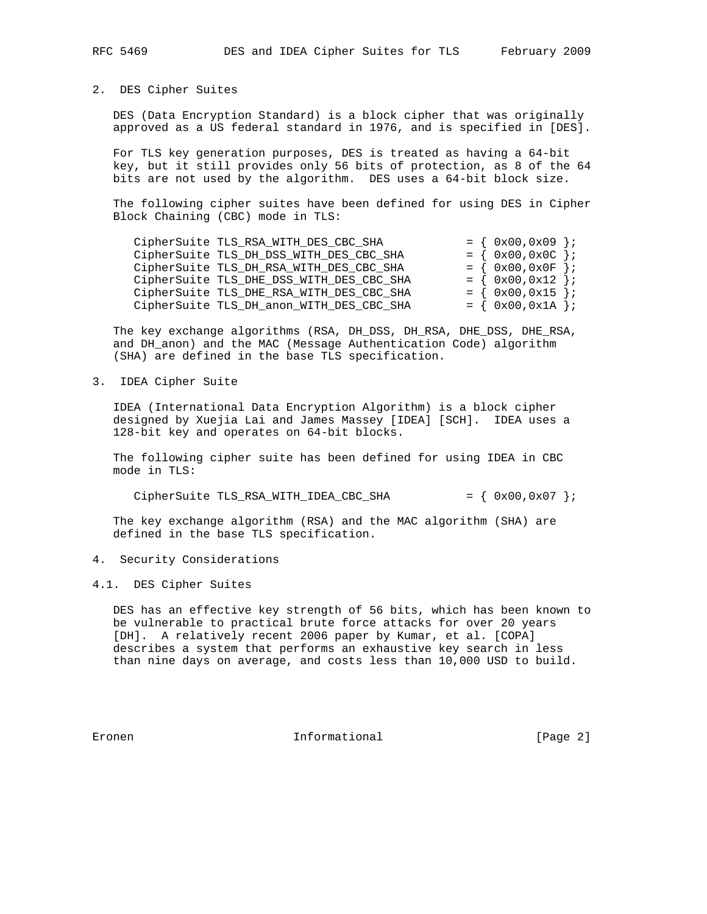## 2. DES Cipher Suites

 DES (Data Encryption Standard) is a block cipher that was originally approved as a US federal standard in 1976, and is specified in [DES].

 For TLS key generation purposes, DES is treated as having a 64-bit key, but it still provides only 56 bits of protection, as 8 of the 64 bits are not used by the algorithm. DES uses a 64-bit block size.

 The following cipher suites have been defined for using DES in Cipher Block Chaining (CBC) mode in TLS:

| CipherSuite TLS_RSA_WITH_DES_CBC_SHA     | $= \{ 0x00, 0x09 \}$ |  |
|------------------------------------------|----------------------|--|
| CipherSuite TLS_DH_DSS_WITH_DES_CBC_SHA  | $= \{ 0x00, 0x0C \}$ |  |
| CipherSuite TLS_DH_RSA_WITH_DES_CBC_SHA  | $= \{ 0x00, 0x0F \}$ |  |
| CipherSuite TLS_DHE_DSS_WITH_DES_CBC_SHA | $= \{ 0x00, 0x12 \}$ |  |
| CipherSuite TLS_DHE_RSA_WITH_DES_CBC_SHA | $= \{ 0x00, 0x15 \}$ |  |
| CipherSuite TLS_DH_anon_WITH_DES_CBC_SHA | $= \{ 0x00, 0x1A \}$ |  |

 The key exchange algorithms (RSA, DH\_DSS, DH\_RSA, DHE\_DSS, DHE\_RSA, and DH\_anon) and the MAC (Message Authentication Code) algorithm (SHA) are defined in the base TLS specification.

## 3. IDEA Cipher Suite

 IDEA (International Data Encryption Algorithm) is a block cipher designed by Xuejia Lai and James Massey [IDEA] [SCH]. IDEA uses a 128-bit key and operates on 64-bit blocks.

 The following cipher suite has been defined for using IDEA in CBC mode in TLS:

CipherSuite TLS\_RSA\_WITH\_IDEA\_CBC\_SHA =  $\{ 0x00, 0x07 \}$ ;

 The key exchange algorithm (RSA) and the MAC algorithm (SHA) are defined in the base TLS specification.

4. Security Considerations

4.1. DES Cipher Suites

 DES has an effective key strength of 56 bits, which has been known to be vulnerable to practical brute force attacks for over 20 years [DH]. A relatively recent 2006 paper by Kumar, et al. [COPA] describes a system that performs an exhaustive key search in less than nine days on average, and costs less than 10,000 USD to build.

Eronen 10 Informational 1999 (Page 2)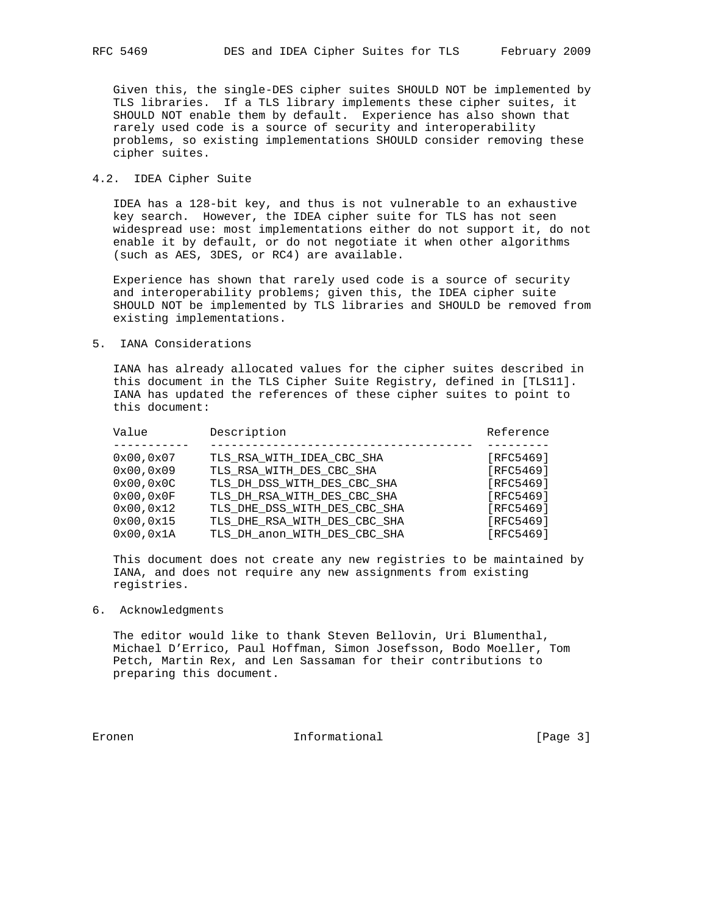Given this, the single-DES cipher suites SHOULD NOT be implemented by TLS libraries. If a TLS library implements these cipher suites, it SHOULD NOT enable them by default. Experience has also shown that rarely used code is a source of security and interoperability problems, so existing implementations SHOULD consider removing these cipher suites.

## 4.2. IDEA Cipher Suite

 IDEA has a 128-bit key, and thus is not vulnerable to an exhaustive key search. However, the IDEA cipher suite for TLS has not seen widespread use: most implementations either do not support it, do not enable it by default, or do not negotiate it when other algorithms (such as AES, 3DES, or RC4) are available.

 Experience has shown that rarely used code is a source of security and interoperability problems; given this, the IDEA cipher suite SHOULD NOT be implemented by TLS libraries and SHOULD be removed from existing implementations.

# 5. IANA Considerations

 IANA has already allocated values for the cipher suites described in this document in the TLS Cipher Suite Registry, defined in [TLS11]. IANA has updated the references of these cipher suites to point to this document:

| Value     | Description                  | Reference |
|-----------|------------------------------|-----------|
| 0x00,0x07 | TLS RSA WITH IDEA CBC SHA    | [RFC5469] |
| 0x00,0x09 | TLS RSA WITH DES CBC SHA     | [RFC5469] |
| 0x00,0x0C | TLS DH DSS WITH DES CBC SHA  | [RFC5469] |
| 0x00.0x0F | TLS_DH_RSA_WITH_DES_CBC SHA  | [RFC5469] |
| 0x00,0x12 | TLS_DHE_DSS_WITH_DES_CBC_SHA | [RFC5469] |
| 0x00,0x15 | TLS DHE RSA WITH DES CBC SHA | [RFC5469] |
| 0x00.0x1A | TLS_DH_anon_WITH_DES_CBC_SHA | [RFC5469] |

 This document does not create any new registries to be maintained by IANA, and does not require any new assignments from existing registries.

# 6. Acknowledgments

 The editor would like to thank Steven Bellovin, Uri Blumenthal, Michael D'Errico, Paul Hoffman, Simon Josefsson, Bodo Moeller, Tom Petch, Martin Rex, and Len Sassaman for their contributions to preparing this document.

Eronen 1988 Eronen Informational (Page 3)